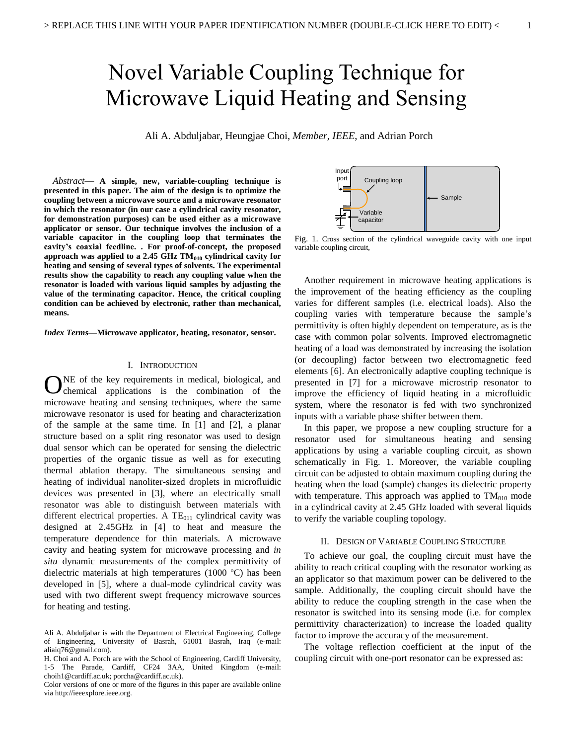# Novel Variable Coupling Technique for Microwave Liquid Heating and Sensing

Ali A. Abduljabar*,* Heungjae Choi, *Member, IEEE*, and Adrian Porch

*Abstract*— **A simple, new, variable-coupling technique is presented in this paper. The aim of the design is to optimize the coupling between a microwave source and a microwave resonator in which the resonator (in our case a cylindrical cavity resonator, for demonstration purposes) can be used either as a microwave applicator or sensor. Our technique involves the inclusion of a variable capacitor in the coupling loop that terminates the cavity's coaxial feedline. . For proof-of-concept, the proposed approach was applied to a 2.45 GHz TM<sup>010</sup> cylindrical cavity for heating and sensing of several types of solvents. The experimental results show the capability to reach any coupling value when the resonator is loaded with various liquid samples by adjusting the value of the terminating capacitor. Hence, the critical coupling condition can be achieved by electronic, rather than mechanical, means.**

*Index Terms***—Microwave applicator, heating, resonator, sensor.**

# I. INTRODUCTION

NE of the key requirements in medical, biological, and ONE of the key requirements in medical, biological, and chemical applications is the combination of the microwave heating and sensing techniques, where the same microwave resonator is used for heating and characterization of the sample at the same time. In [1] and [2], a planar structure based on a split ring resonator was used to design dual sensor which can be operated for sensing the dielectric properties of the organic tissue as well as for executing thermal ablation therapy. The simultaneous sensing and heating of individual nanoliter-sized droplets in microfluidic devices was presented in [3], where an electrically small resonator was able to distinguish between materials with different electrical properties. A  $TE<sub>011</sub>$  cylindrical cavity was designed at 2.45GHz in [4] to heat and measure the temperature dependence for thin materials. A microwave cavity and heating system for microwave processing and *in situ* dynamic measurements of the complex permittivity of dielectric materials at high temperatures (1000 ºC) has been developed in [5], where a dual-mode cylindrical cavity was used with two different swept frequency microwave sources for heating and testing.



Fig. 1. Cross section of the cylindrical waveguide cavity with one input variable coupling circuit,

Another requirement in microwave heating applications is the improvement of the heating efficiency as the coupling varies for different samples (i.e. electrical loads). Also the coupling varies with temperature because the sample's permittivity is often highly dependent on temperature, as is the case with common polar solvents. Improved electromagnetic heating of a load was demonstrated by increasing the isolation (or decoupling) factor between two electromagnetic feed elements [6]. An electronically adaptive coupling technique is presented in [7] for a microwave microstrip resonator to improve the efficiency of liquid heating in a microfluidic system, where the resonator is fed with two synchronized inputs with a variable phase shifter between them.

In this paper, we propose a new coupling structure for a resonator used for simultaneous heating and sensing applications by using a variable coupling circuit, as shown schematically in Fig. 1. Moreover, the variable coupling circuit can be adjusted to obtain maximum coupling during the heating when the load (sample) changes its dielectric property with temperature. This approach was applied to  $TM<sub>010</sub>$  mode in a cylindrical cavity at 2.45 GHz loaded with several liquids to verify the variable coupling topology.

## II. DESIGN OF VARIABLE COUPLING STRUCTURE

To achieve our goal, the coupling circuit must have the ability to reach critical coupling with the resonator working as an applicator so that maximum power can be delivered to the sample. Additionally, the coupling circuit should have the ability to reduce the coupling strength in the case when the resonator is switched into its sensing mode (i.e. for complex permittivity characterization) to increase the loaded quality factor to improve the accuracy of the measurement.

The voltage reflection coefficient at the input of the coupling circuit with one-port resonator can be expressed as:

Ali A. Abduljabar is with the Department of Electrical Engineering, College of Engineering, University of Basrah, 61001 Basrah, Iraq (e-mail: aliaiq76@gmail.com).

H. Choi and A. Porch are with the School of Engineering, Cardiff University, 1-5 The Parade, Cardiff, CF24 3AA, United Kingdom (e-mail: choih1@cardiff.ac.uk; porcha@cardiff.ac.uk).

Color versions of one or more of the figures in this paper are available online via http://ieeexplore.ieee.org.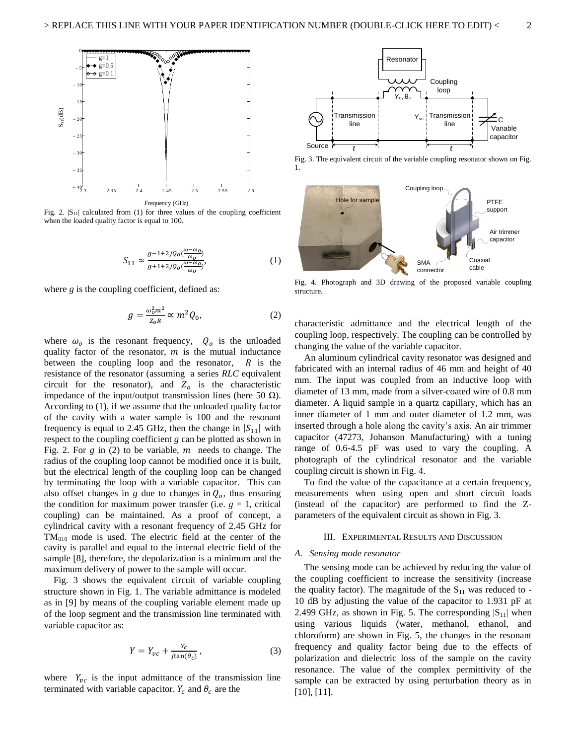

Fig. 2.  $|S_{11}|$  calculated from (1) for three values of the coupling coefficient when the loaded quality factor is equal to 100.

$$
S_{11} \approx \frac{g^{-1+2jQ_0(\frac{\omega - \omega_0}{\omega_0})}}{g^{1+2jQ_0(\frac{\omega - \omega_0}{\omega_0})}},\tag{1}
$$

where *g* is the coupling coefficient, defined as:

$$
g = \frac{\omega_0^2 m^2}{z_0 R} \propto m^2 Q_0,
$$
 (2)

where  $\omega_o$  is the resonant frequency,  $Q_o$  is the unloaded quality factor of the resonator,  $m$  is the mutual inductance between the coupling loop and the resonator,  $R$  is the resistance of the resonator (assuming a series *RLC* equivalent circuit for the resonator), and  $Z_0$  is the characteristic impedance of the input/output transmission lines (here 50 Ω). According to (1), if we assume that the unloaded quality factor of the cavity with a water sample is 100 and the resonant frequency is equal to 2.45 GHz, then the change in  $|S_{11}|$  with respect to the coupling coefficient *g* can be plotted as shown in Fig. 2. For  $g$  in (2) to be variable,  $m$  needs to change. The radius of the coupling loop cannot be modified once it is built, but the electrical length of the coupling loop can be changed by terminating the loop with a variable capacitor. This can also offset changes in *g* due to changes in  $Q<sub>o</sub>$ , thus ensuring the condition for maximum power transfer (i.e.  $g = 1$ , critical coupling) can be maintained. As a proof of concept, a cylindrical cavity with a resonant frequency of 2.45 GHz for  $TM<sub>010</sub>$  mode is used. The electric field at the center of the cavity is parallel and equal to the internal electric field of the sample [8], therefore, the depolarization is a minimum and the maximum delivery of power to the sample will occur.

Fig. 3 shows the equivalent circuit of variable coupling structure shown in Fig. 1. The variable admittance is modeled as in [9] by means of the coupling variable element made up of the loop segment and the transmission line terminated with variable capacitor as:

$$
Y = Y_{vc} + \frac{Y_c}{j \tan(\theta_c)},\tag{3}
$$

where  $Y_{\nu c}$  is the input admittance of the transmission line terminated with variable capacitor.  $Y_c$  and  $\theta_c$  are the



Fig. 3. The equivalent circuit of the variable coupling resonator shown on Fig. 1.



Fig. 4. Photograph and 3D drawing of the proposed variable coupling structure.

characteristic admittance and the electrical length of the coupling loop, respectively. The coupling can be controlled by changing the value of the variable capacitor.

An aluminum cylindrical cavity resonator was designed and fabricated with an internal radius of 46 mm and height of 40 mm. The input was coupled from an inductive loop with diameter of 13 mm, made from a silver-coated wire of 0.8 mm diameter. A liquid sample in a quartz capillary, which has an inner diameter of 1 mm and outer diameter of 1.2 mm, was inserted through a hole along the cavity's axis. An air trimmer capacitor (47273, Johanson Manufacturing) with a tuning range of 0.6-4.5 pF was used to vary the coupling. A photograph of the cylindrical resonator and the variable coupling circuit is shown in Fig. 4.

To find the value of the capacitance at a certain frequency, measurements when using open and short circuit loads (instead of the capacitor) are performed to find the Zparameters of the equivalent circuit as shown in Fig. 3.

# III. EXPERIMENTAL RESULTS AND DISCUSSION

# *A. Sensing mode resonator*

The sensing mode can be achieved by reducing the value of the coupling coefficient to increase the sensitivity (increase the quality factor). The magnitude of the  $S_{11}$  was reduced to -10 dB by adjusting the value of the capacitor to 1.931 pF at 2.499 GHz, as shown in Fig. 5. The corresponding  $|S_{11}|$  when using various liquids (water, methanol, ethanol, and chloroform) are shown in Fig. 5, the changes in the resonant frequency and quality factor being due to the effects of polarization and dielectric loss of the sample on the cavity resonance. The value of the complex permittivity of the sample can be extracted by using perturbation theory as in [10], [11].